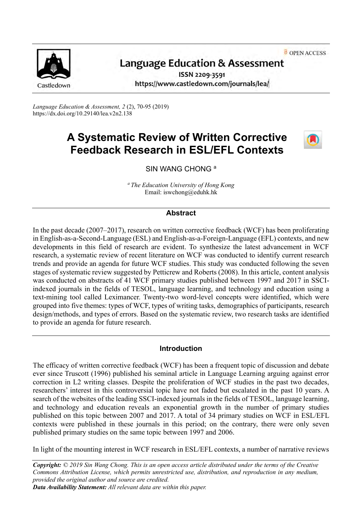OPEN ACCESS



# Language Education & Assessment

ISSN 2209-3591 https://www.castledown.com/journals/lea/

*Language Education & Assessment, 2* (2), 70-95 (2019) https://dx.doi.org/10.29140/lea.v2n2.138

# **A Systematic Review of Written Corrective Feedback Research in ESL/EFL Contexts**



# SIN WANG CHONG<sup>a</sup>

*<sup>a</sup>The Education University of Hong Kong* Email: iswchong@eduhk.hk

#### **Abstract**

In the past decade (2007–2017), research on written corrective feedback (WCF) has been proliferating in English-as-a-Second-Language (ESL) and English-as-a-Foreign-Language (EFL) contexts, and new developments in this field of research are evident. To synthesize the latest advancement in WCF research, a systematic review of recent literature on WCF was conducted to identify current research trends and provide an agenda for future WCF studies. This study was conducted following the seven stages of systematic review suggested by Petticrew and Roberts (2008). In this article, content analysis was conducted on abstracts of 41 WCF primary studies published between 1997 and 2017 in SSCIindexed journals in the fields of TESOL, language learning, and technology and education using a text-mining tool called Leximancer. Twenty-two word-level concepts were identified, which were grouped into five themes: types of WCF, types of writing tasks, demographics of participants, research design/methods, and types of errors. Based on the systematic review, two research tasks are identified to provide an agenda for future research.

### **Introduction**

The efficacy of written corrective feedback (WCF) has been a frequent topic of discussion and debate ever since Truscott (1996) published his seminal article in Language Learning arguing against error correction in L2 writing classes. Despite the proliferation of WCF studies in the past two decades, researchers' interest in this controversial topic have not faded but escalated in the past 10 years. A search of the websites of the leading SSCI-indexed journals in the fields of TESOL, language learning, and technology and education reveals an exponential growth in the number of primary studies published on this topic between 2007 and 2017. A total of 34 primary studies on WCF in ESL/EFL contexts were published in these journals in this period; on the contrary, there were only seven published primary studies on the same topic between 1997 and 2006.

In light of the mounting interest in WCF research in ESL/EFL contexts, a number of narrative reviews

*Copyright: © 2019 Sin Wang Chong. This is an open access article distributed under the terms of the [Creative](http://creativecommons.org/licenses/by-nc-nd/4.0)  [Commons Attribution License,](http://creativecommons.org/licenses/by-nc-nd/4.0) which permits unrestricted use, distribution, and reproduction in any medium, provided the original author and source are credited. Data Availability Statement: All relevant data are within this paper.*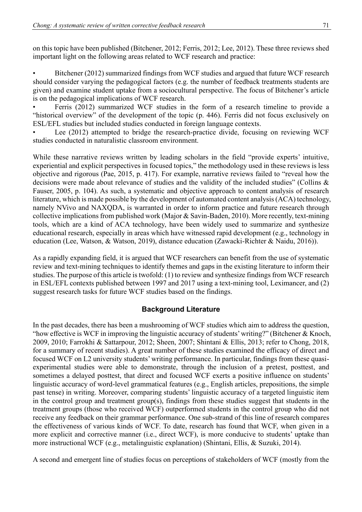on this topic have been published (Bitchener, 2012; Ferris, 2012; Lee, 2012). These three reviews shed important light on the following areas related to WCF research and practice:

• Bitchener (2012) summarized findings from WCF studies and argued that future WCF research should consider varying the pedagogical factors (e.g. the number of feedback treatments students are given) and examine student uptake from a sociocultural perspective. The focus of Bitchener's article is on the pedagogical implications of WCF research.

• Ferris (2012) summarized WCF studies in the form of a research timeline to provide a "historical overview" of the development of the topic (p. 446). Ferris did not focus exclusively on ESL/EFL studies but included studies conducted in foreign language contexts.

Lee (2012) attempted to bridge the research-practice divide, focusing on reviewing WCF studies conducted in naturalistic classroom environment.

While these narrative reviews written by leading scholars in the field "provide experts' intuitive, experiential and explicit perspectives in focused topics," the methodology used in these reviews is less objective and rigorous (Pae, 2015, p. 417). For example, narrative reviews failed to "reveal how the decisions were made about relevance of studies and the validity of the included studies" (Collins & Fauser, 2005, p. 104). As such, a systematic and objective approach to content analysis of research literature, which is made possible by the development of automated content analysis (ACA) technology, namely NVivo and NAXQDA, is warranted in order to inform practice and future research through collective implications from published work (Major & Savin-Baden, 2010). More recently, text-mining tools, which are a kind of ACA technology, have been widely used to summarize and synthesize educational research, especially in areas which have witnessed rapid development (e.g., technology in education (Lee, Watson, & Watson, 2019), distance education (Zawacki-Richter & Naidu, 2016)).

As a rapidly expanding field, it is argued that WCF researchers can benefit from the use of systematic review and text-mining techniques to identify themes and gaps in the existing literature to inform their studies. The purpose of this article is twofold: (1) to review and synthesize findings from WCF research in ESL/EFL contexts published between 1997 and 2017 using a text-mining tool, Leximancer, and (2) suggest research tasks for future WCF studies based on the findings.

# **Background Literature**

In the past decades, there has been a mushrooming of WCF studies which aim to address the question, "how effective is WCF in improving the linguistic accuracy of students' writing?" (Bitchener & Knoch, 2009, 2010; Farrokhi & Sattarpour, 2012; Sheen, 2007; Shintani & Ellis, 2013; refer to Chong, 2018, for a summary of recent studies). A great number of these studies examined the efficacy of direct and focused WCF on L2 university students' writing performance. In particular, findings from these quasiexperimental studies were able to demonstrate, through the inclusion of a pretest, posttest, and sometimes a delayed posttest, that direct and focused WCF exerts a positive influence on students' linguistic accuracy of word-level grammatical features (e.g., English articles, prepositions, the simple past tense) in writing. Moreover, comparing students' linguistic accuracy of a targeted linguistic item in the control group and treatment group(s), findings from these studies suggest that students in the treatment groups (those who received WCF) outperformed students in the control group who did not receive any feedback on their grammar performance. One sub-strand of this line of research compares the effectiveness of various kinds of WCF. To date, research has found that WCF, when given in a more explicit and corrective manner (i.e., direct WCF), is more conducive to students' uptake than more instructional WCF (e.g., metalinguistic explanation) (Shintani, Ellis, & Suzuki, 2014).

A second and emergent line of studies focus on perceptions of stakeholders of WCF (mostly from the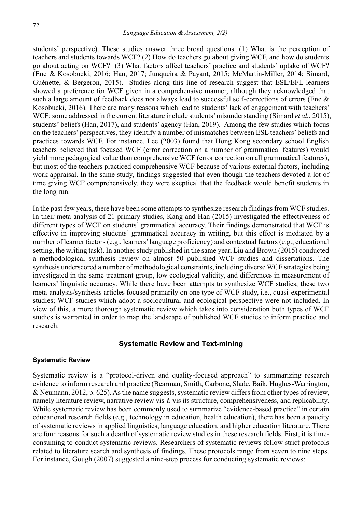students' perspective). These studies answer three broad questions: (1) What is the perception of teachers and students towards WCF? (2) How do teachers go about giving WCF, and how do students go about acting on WCF? (3) What factors affect teachers' practice and students' uptake of WCF? (Ene & Kosobucki, 2016; Han, 2017; Junqueira & Payant, 2015; McMartin-Miller, 2014; Simard, Guénette, & Bergeron, 2015). Studies along this line of research suggest that ESL/EFL learners showed a preference for WCF given in a comprehensive manner, although they acknowledged that such a large amount of feedback does not always lead to successful self-corrections of errors (Ene & Kosobucki, 2016). There are many reasons which lead to students' lack of engagement with teachers' WCF; some addressed in the current literature include students' misunderstanding (Simard *et al.*, 2015), students' beliefs (Han, 2017), and students' agency (Han, 2019). Among the few studies which focus on the teachers' perspectives, they identify a number of mismatches between ESL teachers' beliefs and practices towards WCF. For instance, Lee (2003) found that Hong Kong secondary school English teachers believed that focused WCF (error correction on a number of grammatical features) would yield more pedagogical value than comprehensive WCF (error correction on all grammatical features), but most of the teachers practiced comprehensive WCF because of various external factors, including work appraisal. In the same study, findings suggested that even though the teachers devoted a lot of time giving WCF comprehensively, they were skeptical that the feedback would benefit students in the long run.

In the past few years, there have been some attempts to synthesize research findings from WCF studies. In their meta-analysis of 21 primary studies, Kang and Han (2015) investigated the effectiveness of different types of WCF on students' grammatical accuracy. Their findings demonstrated that WCF is effective in improving students' grammatical accuracy in writing, but this effect is mediated by a number of learner factors (e.g., learners' language proficiency) and contextual factors (e.g., educational setting, the writing task). In another study published in the same year, Liu and Brown (2015) conducted a methodological synthesis review on almost 50 published WCF studies and dissertations. The synthesis underscored a number of methodological constraints, including diverse WCF strategies being investigated in the same treatment group, low ecological validity, and differences in measurement of learners' linguistic accuracy. While there have been attempts to synthesize WCF studies, these two meta-analysis/synthesis articles focused primarily on one type of WCF study, i.e., quasi-experimental studies; WCF studies which adopt a sociocultural and ecological perspective were not included. In view of this, a more thorough systematic review which takes into consideration both types of WCF studies is warranted in order to map the landscape of published WCF studies to inform practice and research.

## **Systematic Review and Text-mining**

#### **Systematic Review**

Systematic review is a "protocol-driven and quality-focused approach" to summarizing research evidence to inform research and practice (Bearman, Smith, Carbone, Slade, Baik, Hughes-Warrington, & Neumann, 2012, p. 625). As the name suggests, systematic review differs from other types of review, namely literature review, narrative review vis-à-vis its structure, comprehensiveness, and replicability. While systematic review has been commonly used to summarize "evidence-based practice" in certain educational research fields (e.g., technology in education, health education), there has been a paucity of systematic reviews in applied linguistics, language education, and higher education literature. There are four reasons for such a dearth of systematic review studies in these research fields. First, it is timeconsuming to conduct systematic reviews. Researchers of systematic reviews follow strict protocols related to literature search and synthesis of findings. These protocols range from seven to nine steps. For instance, Gough (2007) suggested a nine-step process for conducting systematic reviews: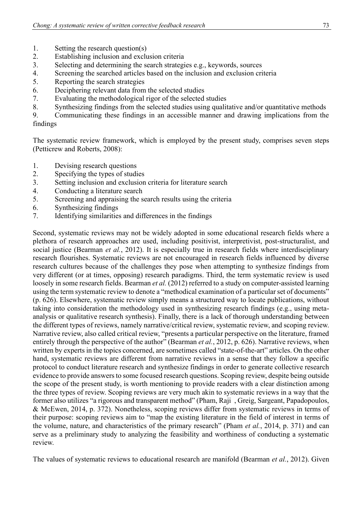- 1. Setting the research question(s)<br>2. Establishing inclusion and exclu
- 2. Establishing inclusion and exclusion criteria<br>3. Selecting and determining the search strategi
- Selecting and determining the search strategies e.g., keywords, sources
- 4. Screening the searched articles based on the inclusion and exclusion criteria
- 5. Reporting the search strategies
- 6. Deciphering relevant data from the selected studies<br>7. Evaluating the methodological rigor of the selected
- Evaluating the methodological rigor of the selected studies
- 8. Synthesizing findings from the selected studies using qualitative and/or quantitative methods

9. Communicating these findings in an accessible manner and drawing implications from the findings

The systematic review framework, which is employed by the present study, comprises seven steps (Petticrew and Roberts, 2008):

- 1. Devising research questions<br>2. Specifying the types of studi
- Specifying the types of studies
- 3. Setting inclusion and exclusion criteria for literature search
- 4. Conducting a literature search<br>5. Screening and anoraising the s
- 5. Screening and appraising the search results using the criteria
- 6. Synthesizing findings
- Identifying similarities and differences in the findings

Second, systematic reviews may not be widely adopted in some educational research fields where a plethora of research approaches are used, including positivist, interpretivist, post-structuralist, and social justice (Bearman *et al.*, 2012). It is especially true in research fields where interdisciplinary research flourishes. Systematic reviews are not encouraged in research fields influenced by diverse research cultures because of the challenges they pose when attempting to synthesize findings from very different (or at times, opposing) research paradigms. Third, the term systematic review is used loosely in some research fields. Bearman *et al.* (2012) referred to a study on computer-assisted learning using the term systematic review to denote a "methodical examination of a particular set of documents" (p. 626). Elsewhere, systematic review simply means a structured way to locate publications, without taking into consideration the methodology used in synthesizing research findings (e.g., using metaanalysis or qualitative research synthesis). Finally, there is a lack of thorough understanding between the different types of reviews, namely narrative/critical review, systematic review, and scoping review. Narrative review, also called critical review, "presents a particular perspective on the literature, framed entirely through the perspective of the author" (Bearman *et al.*, 2012, p. 626). Narrative reviews, when written by experts in the topics concerned, are sometimes called "state-of-the-art" articles. On the other hand, systematic reviews are different from narrative reviews in a sense that they follow a specific protocol to conduct literature research and synthesize findings in order to generate collective research evidence to provide answers to some focused research questions. Scoping review, despite being outside the scope of the present study, is worth mentioning to provide readers with a clear distinction among the three types of review. Scoping reviews are very much akin to systematic reviews in a way that the former also utilizes "a rigorous and transparent method" (Pham, Raji�, Greig, Sargeant, Papadopoulos, & McEwen, 2014, p. 372). Nonetheless, scoping reviews differ from systematic reviews in terms of their purpose: scoping reviews aim to "map the existing literature in the field of interest in terms of the volume, nature, and characteristics of the primary research" (Pham *et al.*, 2014, p. 371) and can serve as a preliminary study to analyzing the feasibility and worthiness of conducting a systematic review.

The values of systematic reviews to educational research are manifold (Bearman *et al.*, 2012). Given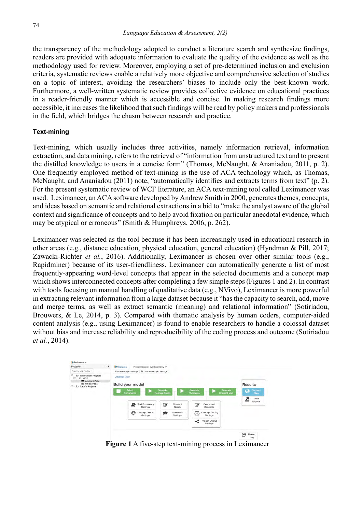the transparency of the methodology adopted to conduct a literature search and synthesize findings, readers are provided with adequate information to evaluate the quality of the evidence as well as the methodology used for review. Moreover, employing a set of pre-determined inclusion and exclusion criteria, systematic reviews enable a relatively more objective and comprehensive selection of studies on a topic of interest, avoiding the researchers' biases to include only the best-known work. Furthermore, a well-written systematic review provides collective evidence on educational practices in a reader-friendly manner which is accessible and concise. In making research findings more accessible, it increases the likelihood that such findings will be read by policy makers and professionals in the field, which bridges the chasm between research and practice.

## **Text-mining**

Text-mining, which usually includes three activities, namely information retrieval, information extraction, and data mining, refers to the retrieval of "information from unstructured text and to present the distilled knowledge to users in a concise form" (Thomas, McNaught, & Ananiadou, 2011, p. 2). One frequently employed method of text-mining is the use of ACA technology which, as Thomas, McNaught, and Ananiadou (2011) note, "automatically identifies and extracts terms from text" (p. 2). For the present systematic review of WCF literature, an ACA text-mining tool called Leximancer was used. Leximancer, an ACA software developed by Andrew Smith in 2000, generates themes, concepts, and ideas based on semantic and relational extractions in a bid to "make the analyst aware of the global context and significance of concepts and to help avoid fixation on particular anecdotal evidence, which may be atypical or erroneous" (Smith & Humphreys, 2006, p. 262).

Leximancer was selected as the tool because it has been increasingly used in educational research in other areas (e.g., distance education, physical education, general education) (Hyndman & Pill, 2017; Zawacki-Richter *et al.*, 2016). Additionally, Leximancer is chosen over other similar tools (e.g., Rapidminer) because of its user-friendliness. Leximancer can automatically generate a list of most frequently-appearing word-level concepts that appear in the selected documents and a concept map which shows interconnected concepts after completing a few simple steps (Figures 1 and 2). In contrast with tools focusing on manual handling of qualitative data (e.g., NVivo), Leximancer is more powerful in extracting relevant information from a large dataset because it "has the capacity to search, add, move and merge terms, as well as extract semantic (meaning) and relational information" (Sotiriadou, Brouwers, & Le, 2014, p. 3). Compared with thematic analysis by human coders, computer-aided content analysis (e.g., using Leximancer) is found to enable researchers to handle a colossal dataset without bias and increase reliability and reproducibility of the coding process and outcome (Sotiriadou *et al.*, 2014).



**Figure 1** A five-step text-mining process in Leximancer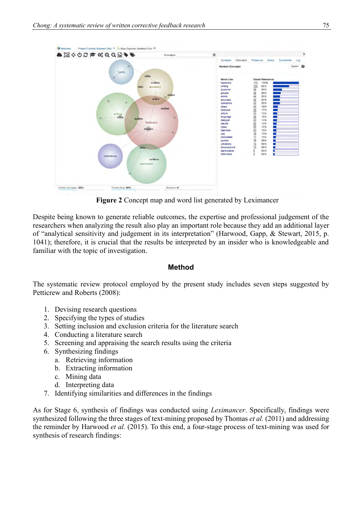

**Figure 2** Concept map and word list generated by Leximancer

Despite being known to generate reliable outcomes, the expertise and professional judgement of the researchers when analyzing the result also play an important role because they add an additional layer of "analytical sensitivity and judgement in its interpretation" (Harwood, Gapp, & Stewart, 2015, p. 1041); therefore, it is crucial that the results be interpreted by an insider who is knowledgeable and familiar with the topic of investigation.

# **Method**

The systematic review protocol employed by the present study includes seven steps suggested by Petticrew and Roberts (2008):

- 1. Devising research questions
- 2. Specifying the types of studies
- 3. Setting inclusion and exclusion criteria for the literature search
- 4. Conducting a literature search
- 5. Screening and appraising the search results using the criteria
- 6. Synthesizing findings
	- a. Retrieving information
	- b. Extracting information
	- c. Mining data
	- d. Interpreting data
- 7. Identifying similarities and differences in the findings

As for Stage 6, synthesis of findings was conducted using *Leximancer*. Specifically, findings were synthesized following the three stages of text-mining proposed by Thomas *et al.* (2011) and addressing the reminder by Harwood *et al.* (2015). To this end, a four-stage process of text-mining was used for synthesis of research findings: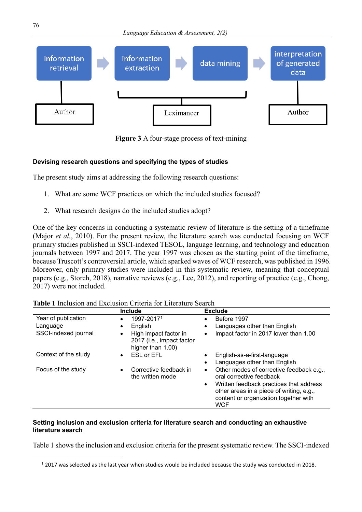

**Figure 3** A four-stage process of text-mining

## **Devising research questions and specifying the types of studies**

The present study aims at addressing the following research questions:

- 1. What are some WCF practices on which the included studies focused?
- 2. What research designs do the included studies adopt?

One of the key concerns in conducting a systematic review of literature is the setting of a timeframe (Major *et al.*, 2010). For the present review, the literature search was conducted focusing on WCF primary studies published in SSCI-indexed TESOL, language learning, and technology and education journals between 1997 and 2017. The year 1997 was chosen as the starting point of the timeframe, because Truscott's controversial article, which sparked waves of WCF research, was published in 1996. Moreover, only primary studies were included in this systematic review, meaning that conceptual papers (e.g., Storch, 2018), narrative reviews (e.g., Lee, 2012), and reporting of practice (e.g., Chong, 2017) were not included.

|                      | Include                                                                              | <b>Exclude</b>                                                                                                                                                                                                                               |
|----------------------|--------------------------------------------------------------------------------------|----------------------------------------------------------------------------------------------------------------------------------------------------------------------------------------------------------------------------------------------|
| Year of publication  | 1997-20171<br>$\bullet$                                                              | Before 1997<br>$\bullet$                                                                                                                                                                                                                     |
| Language             | English<br>٠                                                                         | Languages other than English<br>٠                                                                                                                                                                                                            |
| SSCI-indexed journal | High impact factor in<br>$\bullet$<br>2017 (i.e., impact factor<br>higher than 1.00) | Impact factor in 2017 lower than 1.00<br>$\bullet$                                                                                                                                                                                           |
| Context of the study | <b>ESL or EFL</b><br>$\bullet$                                                       | English-as-a-first-language<br>٠                                                                                                                                                                                                             |
|                      |                                                                                      | Languages other than English<br>$\bullet$                                                                                                                                                                                                    |
| Focus of the study   | Corrective feedback in<br>$\bullet$<br>the written mode                              | Other modes of corrective feedback e.g.,<br>$\bullet$<br>oral corrective feedback<br>Written feedback practices that address<br>$\bullet$<br>other areas in a piece of writing, e.g.,<br>content or organization together with<br><b>WCF</b> |

**Table 1** Inclusion and Exclusion Criteria for Literature Search

#### **Setting inclusion and exclusion criteria for literature search and conducting an exhaustive literature search**

Table 1 shows the inclusion and exclusion criteria for the present systematic review. The SSCI-indexed

 $12017$  was selected as the last year when studies would be included because the study was conducted in 2018.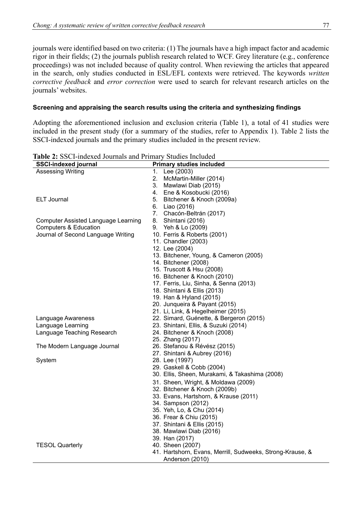journals were identified based on two criteria: (1) The journals have a high impact factor and academic rigor in their fields; (2) the journals publish research related to WCF. Grey literature (e.g., conference proceedings) was not included because of quality control. When reviewing the articles that appeared in the search, only studies conducted in ESL/EFL contexts were retrieved. The keywords *written corrective feedback* and *error correction* were used to search for relevant research articles on the journals' websites.

## **Screening and appraising the search results using the criteria and synthesizing findings**

Adopting the aforementioned inclusion and exclusion criteria (Table 1), a total of 41 studies were included in the present study (for a summary of the studies, refer to Appendix 1). Table 2 lists the SSCI-indexed journals and the primary studies included in the present review.

| <b>SSCI-indexed journal</b>                |    | <b>Primary studies included</b>                           |
|--------------------------------------------|----|-----------------------------------------------------------|
| <b>Assessing Writing</b>                   | 1. | Lee (2003)                                                |
|                                            | 2. | McMartin-Miller (2014)                                    |
|                                            |    | 3. Mawlawi Diab (2015)                                    |
|                                            |    | 4. Ene & Kosobucki (2016)                                 |
| <b>ELT Journal</b>                         |    | 5. Bitchener & Knoch (2009a)                              |
|                                            |    | 6. Liao (2016)                                            |
|                                            |    | 7. Chacón-Beltrán (2017)                                  |
| <b>Computer Assisted Language Learning</b> |    | 8. Shintani (2016)                                        |
| Computers & Education                      |    | 9. Yeh & Lo (2009)                                        |
| Journal of Second Language Writing         |    | 10. Ferris & Roberts (2001)                               |
|                                            |    | 11. Chandler (2003)                                       |
|                                            |    | 12. Lee (2004)                                            |
|                                            |    | 13. Bitchener, Young, & Cameron (2005)                    |
|                                            |    | 14. Bitchener (2008)                                      |
|                                            |    | 15. Truscott & Hsu (2008)                                 |
|                                            |    | 16. Bitchener & Knoch (2010)                              |
|                                            |    | 17. Ferris, Liu, Sinha, & Senna (2013)                    |
|                                            |    | 18. Shintani & Ellis (2013)                               |
|                                            |    | 19. Han & Hyland (2015)                                   |
|                                            |    | 20. Junqueira & Payant (2015)                             |
|                                            |    | 21. Li, Link, & Hegelheimer (2015)                        |
| Language Awareness                         |    | 22. Simard, Guénette, & Bergeron (2015)                   |
| Language Learning                          |    | 23. Shintani, Ellis, & Suzuki (2014)                      |
| Language Teaching Research                 |    | 24. Bitchener & Knoch (2008)                              |
|                                            |    | 25. Zhang (2017)                                          |
| The Modern Language Journal                |    | 26. Stefanou & Révész (2015)                              |
|                                            |    | 27. Shintani & Aubrey (2016)                              |
| System                                     |    | 28. Lee (1997)                                            |
|                                            |    | 29. Gaskell & Cobb (2004)                                 |
|                                            |    | 30. Ellis, Sheen, Murakami, & Takashima (2008)            |
|                                            |    | 31. Sheen, Wright, & Moldawa (2009)                       |
|                                            |    | 32. Bitchener & Knoch (2009b)                             |
|                                            |    | 33. Evans, Hartshorn, & Krause (2011)                     |
|                                            |    | 34. Sampson (2012)                                        |
|                                            |    | 35. Yeh, Lo, & Chu (2014)                                 |
|                                            |    | 36. Frear & Chiu (2015)                                   |
|                                            |    | 37. Shintani & Ellis (2015)                               |
|                                            |    | 38. Mawlawi Diab (2016)                                   |
|                                            |    | 39. Han (2017)                                            |
| <b>TESOL Quarterly</b>                     |    | 40. Sheen (2007)                                          |
|                                            |    | 41. Hartshorn, Evans, Merrill, Sudweeks, Strong-Krause, & |
|                                            |    | Anderson (2010)                                           |

**Table 2:** SSCI-indexed Journals and Primary Studies Included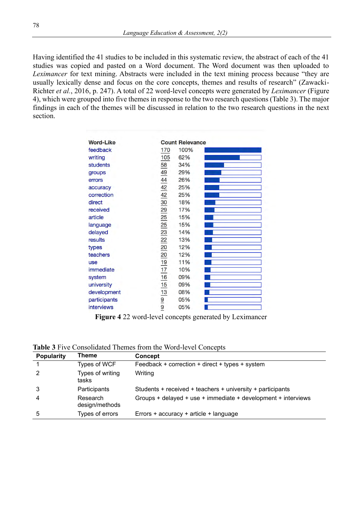Having identified the 41 studies to be included in this systematic review, the abstract of each of the 41 studies was copied and pasted on a Word document. The Word document was then uploaded to *Leximancer* for text mining. Abstracts were included in the text mining process because "they are usually lexically dense and focus on the core concepts, themes and results of research" (Zawacki-Richter *et al.*, 2016, p. 247). A total of 22 word-level concepts were generated by *Leximancer* (Figure 4), which were grouped into five themes in response to the two research questions (Table 3). The major findings in each of the themes will be discussed in relation to the two research questions in the next section.

| <b>Word-Like</b> |                                 | <b>Count Relevance</b> |  |
|------------------|---------------------------------|------------------------|--|
| feedback         | 170                             | 100%                   |  |
| writing          | 105                             | 62%                    |  |
| <b>students</b>  | $\overline{58}$                 | 34%                    |  |
| groups           |                                 | 29%                    |  |
| errors           | $\frac{49}{44}$                 | 26%                    |  |
| accuracy         |                                 | 25%                    |  |
| correction       | $\frac{42}{42}$                 | 25%                    |  |
| direct           | 30                              | 18%                    |  |
| received         | 29                              | 17%                    |  |
| article          | 25                              | 15%                    |  |
| language         | 25                              | 15%                    |  |
| delayed          |                                 | 14%                    |  |
| results          | $\frac{23}{22}$ $\frac{20}{20}$ | 13%                    |  |
| types            |                                 | 12%                    |  |
| teachers         |                                 | 12%                    |  |
| <b>use</b>       | <u>19</u>                       | 11%                    |  |
| immediate        | 17                              | 10%                    |  |
| system           | 16                              | 09%                    |  |
| university       |                                 | 09%                    |  |
| development      | $\frac{15}{13}$ $\frac{9}{9}$   | 08%                    |  |
| participants     |                                 | 05%                    |  |
| interviews       |                                 | 05%                    |  |

**Figure 4** 22 word-level concepts generated by Leximancer

**Table 3** Five Consolidated Themes from the Word-level Concepts

| <b>Popularity</b> | Theme                      | Concept                                                       |
|-------------------|----------------------------|---------------------------------------------------------------|
|                   | Types of WCF               | Feedback + correction + direct + types + system               |
| 2                 | Types of writing<br>tasks  | Writing                                                       |
| 3                 | Participants               | Students + received + teachers + university + participants    |
| 4                 | Research<br>design/methods | Groups + delayed + use + immediate + development + interviews |
| 5                 | Types of errors            | Errors + accuracy + article + language                        |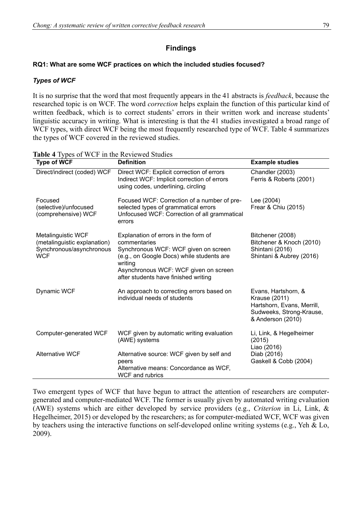### **Findings**

#### **RQ1: What are some WCF practices on which the included studies focused?**

#### *Types of WCF*

It is no surprise that the word that most frequently appears in the 41 abstracts is *feedback*, because the researched topic is on WCF. The word *correction* helps explain the function of this particular kind of written feedback, which is to correct students' errors in their written work and increase students' linguistic accuracy in writing. What is interesting is that the 41 studies investigated a broad range of WCF types, with direct WCF being the most frequently researched type of WCF. Table 4 summarizes the types of WCF covered in the reviewed studies.

| <b>Type of WCF</b>                                                                                  | <b>Definition</b>                                                                                                                                                                                                                     | <b>Example studies</b>                                                                                              |
|-----------------------------------------------------------------------------------------------------|---------------------------------------------------------------------------------------------------------------------------------------------------------------------------------------------------------------------------------------|---------------------------------------------------------------------------------------------------------------------|
| Direct/indirect (coded) WCF                                                                         | Direct WCF: Explicit correction of errors<br>Indirect WCF: Implicit correction of errors<br>using codes, underlining, circling                                                                                                        | Chandler (2003)<br>Ferris & Roberts (2001)                                                                          |
| Focused<br>(selective)/unfocused<br>(comprehensive) WCF                                             | Focused WCF: Correction of a number of pre-<br>selected types of grammatical errors<br>Unfocused WCF: Correction of all grammatical<br>errors                                                                                         | Lee (2004)<br>Frear & Chiu (2015)                                                                                   |
| <b>Metalinguistic WCF</b><br>(metalinguistic explanation)<br>Synchronous/asynchronous<br><b>WCF</b> | Explanation of errors in the form of<br>commentaries<br>Synchronous WCF: WCF given on screen<br>(e.g., on Google Docs) while students are<br>writing<br>Asynchronous WCF: WCF given on screen<br>after students have finished writing | Bitchener (2008)<br>Bitchener & Knoch (2010)<br>Shintani (2016)<br>Shintani & Aubrey (2016)                         |
| Dynamic WCF                                                                                         | An approach to correcting errors based on<br>individual needs of students                                                                                                                                                             | Evans, Hartshorn, &<br>Krause (2011)<br>Hartshorn, Evans, Merrill,<br>Sudweeks, Strong-Krause,<br>& Anderson (2010) |
| Computer-generated WCF                                                                              | WCF given by automatic writing evaluation<br>(AWE) systems                                                                                                                                                                            | Li, Link, & Hegelheimer<br>(2015)<br>Liao (2016)                                                                    |
| <b>Alternative WCF</b>                                                                              | Alternative source: WCF given by self and<br>peers<br>Alternative means: Concordance as WCF,<br><b>WCF</b> and rubrics                                                                                                                | Diab (2016)<br>Gaskell & Cobb (2004)                                                                                |

**Table 4** Types of WCF in the Reviewed Studies

Two emergent types of WCF that have begun to attract the attention of researchers are computergenerated and computer-mediated WCF. The former is usually given by automated writing evaluation (AWE) systems which are either developed by service providers (e.g., *Criterion* in Li, Link, & Hegelheimer, 2015) or developed by the researchers; as for computer-mediated WCF, WCF was given by teachers using the interactive functions on self-developed online writing systems (e.g., Yeh & Lo, 2009).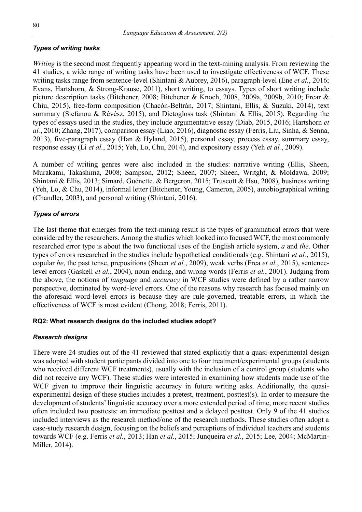# *Types of writing tasks*

*Writing* is the second most frequently appearing word in the text-mining analysis. From reviewing the 41 studies, a wide range of writing tasks have been used to investigate effectiveness of WCF. These writing tasks range from sentence-level (Shintani & Aubrey, 2016), paragraph-level (Ene *et al.*, 2016; Evans, Hartshorn, & Strong-Krause, 2011), short writing, to essays. Types of short writing include picture description tasks (Bitchener, 2008; Bitchener & Knoch, 2008, 2009a, 2009b, 2010; Frear & Chiu, 2015), free-form composition (Chacón-Beltrán, 2017; Shintani, Ellis, & Suzuki, 2014), text summary (Stefanou & Révész, 2015), and Dictogloss task (Shintani & Ellis, 2015). Regarding the types of essays used in the studies, they include argumentative essay (Diab, 2015, 2016; Hartshorn *et al.*, 2010; Zhang, 2017), comparison essay (Liao, 2016), diagnostic essay (Ferris, Liu, Sinha, & Senna, 2013), five-paragraph essay (Han & Hyland, 2015), personal essay, process essay, summary essay, response essay (Li *et al.*, 2015; Yeh, Lo, Chu, 2014), and expository essay (Yeh *et al.*, 2009).

A number of writing genres were also included in the studies: narrative writing (Ellis, Sheen, Murakami, Takashima, 2008; Sampson, 2012; Sheen, 2007; Sheen, Writght, & Moldawa, 2009; Shintani & Ellis, 2013; Simard, Guénette, & Bergeron, 2015; Truscott & Hsu, 2008), business writing (Yeh, Lo, & Chu, 2014), informal letter (Bitchener, Young, Cameron, 2005), autobiographical writing (Chandler, 2003), and personal writing (Shintani, 2016).

# *Types of errors*

The last theme that emerges from the text-mining result is the types of grammatical errors that were considered by the researchers. Among the studies which looked into focused WCF, the most commonly researched error type is about the two functional uses of the English article system, *a* and *the*. Other types of errors researched in the studies include hypothetical conditionals (e.g. Shintani *et al.*, 2015), copular *be*, the past tense, prepositions (Sheen *et al.*, 2009), weak verbs (Frea *et al.*, 2015), sentencelevel errors (Gaskell *et al.*, 2004), noun ending, and wrong words (Ferris *et al.*, 2001). Judging from the above, the notions of *language* and *accuracy* in WCF studies were defined by a rather narrow perspective, dominated by word-level errors. One of the reasons why research has focused mainly on the aforesaid word-level errors is because they are rule-governed, treatable errors, in which the effectiveness of WCF is most evident (Chong, 2018; Ferris, 2011).

# **RQ2: What research designs do the included studies adopt?**

### *Research designs*

There were 24 studies out of the 41 reviewed that stated explicitly that a quasi-experimental design was adopted with student participants divided into one to four treatment/experimental groups (students who received different WCF treatments), usually with the inclusion of a control group (students who did not receive any WCF). These studies were interested in examining how students made use of the WCF given to improve their linguistic accuracy in future writing asks. Additionally, the quasiexperimental design of these studies includes a pretest, treatment, posttest(s). In order to measure the development of students' linguistic accuracy over a more extended period of time, more recent studies often included two posttests: an immediate posttest and a delayed posttest. Only 9 of the 41 studies included interviews as the research method/one of the research methods. These studies often adopt a case-study research design, focusing on the beliefs and perceptions of individual teachers and students towards WCF (e.g. Ferris *et al.*, 2013; Han *et al.*, 2015; Junqueira *et al.*, 2015; Lee, 2004; McMartin-Miller, 2014).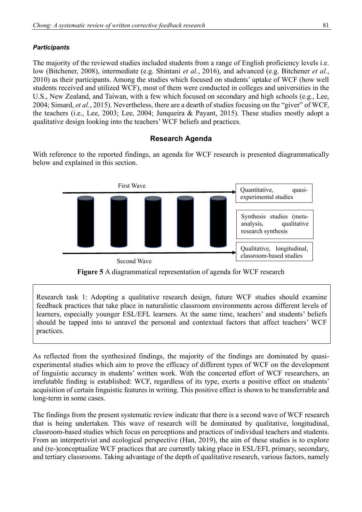# *Participants*

The majority of the reviewed studies included students from a range of English proficiency levels i.e. low (Bitchener, 2008), intermediate (e.g. Shintani *et al.*, 2016), and advanced (e.g. Bitchener *et al.*, 2010) as their participants. Among the studies which focused on students' uptake of WCF (how well students received and utilized WCF), most of them were conducted in colleges and universities in the U.S., New Zealand, and Taiwan, with a few which focused on secondary and high schools (e.g., Lee, 2004; Simard, *et al.*, 2015). Nevertheless, there are a dearth of studies focusing on the "giver" of WCF, the teachers (i.e., Lee, 2003; Lee, 2004; Junqueira & Payant, 2015). These studies mostly adopt a qualitative design looking into the teachers' WCF beliefs and practices.

# **Research Agenda**

With reference to the reported findings, an agenda for WCF research is presented diagrammatically below and explained in this section.



**Figure 5** A diagrammatical representation of agenda for WCF research

Research task 1: Adopting a qualitative research design, future WCF studies should examine feedback practices that take place in naturalistic classroom environments across different levels of learners, especially younger ESL/EFL learners. At the same time, teachers' and students' beliefs should be tapped into to unravel the personal and contextual factors that affect teachers' WCF practices.

As reflected from the synthesized findings, the majority of the findings are dominated by quasiexperimental studies which aim to prove the efficacy of different types of WCF on the development of linguistic accuracy in students' written work. With the concerted effort of WCF researchers, an irrefutable finding is established: WCF, regardless of its type, exerts a positive effect on students' acquisition of certain linguistic features in writing. This positive effect is shown to be transferrable and long-term in some cases.

The findings from the present systematic review indicate that there is a second wave of WCF research that is being undertaken. This wave of research will be dominated by qualitative, longitudinal, classroom-based studies which focus on perceptions and practices of individual teachers and students. From an interpretivist and ecological perspective (Han, 2019), the aim of these studies is to explore and (re-)conceptualize WCF practices that are currently taking place in ESL/EFL primary, secondary, and tertiary classrooms. Taking advantage of the depth of qualitative research, various factors, namely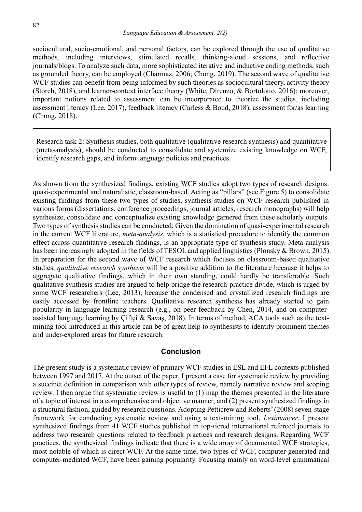sociocultural, socio-emotional, and personal factors, can be explored through the use of qualitative methods, including interviews, stimulated recalls, thinking-aloud sessions, and reflective journals/blogs. To analyze such data, more sophisticated iterative and inductive coding methods, such as grounded theory, can be employed (Charmaz, 2006; Chong, 2019). The second wave of qualitative WCF studies can benefit from being informed by such theories as sociocultural theory, activity theory (Storch, 2018), and learner-context interface theory (White, Direnzo, & Bortolotto, 2016); moreover, important notions related to assessment can be incorporated to theorize the studies, including assessment literacy (Lee, 2017), feedback literacy (Carless & Boud, 2018), assessment for/as learning (Chong, 2018).

Research task 2: Synthesis studies, both qualitative (qualitative research synthesis) and quantitative (meta-analysis), should be conducted to consolidate and systemize existing knowledge on WCF, identify research gaps, and inform language policies and practices.

As shown from the synthesized findings, existing WCF studies adopt two types of research designs: quasi-experimental and naturalistic, classroom-based. Acting as "pillars" (see Figure 5) to consolidate existing findings from these two types of studies, synthesis studies on WCF research published in various forms (dissertations, conference proceedings, journal articles, research monographs) will help synthesize, consolidate and conceptualize existing knowledge garnered from these scholarly outputs. Two types of synthesis studies can be conducted: Given the domination of quasi-experimental research in the current WCF literature, *meta-analysis*, which is a statistical procedure to identify the common effect across quantitative research findings, is an appropriate type of synthesis study. Meta-analysis has been increasingly adopted in the fields of TESOL and applied linguistics (Plonsky & Brown, 2015). In preparation for the second wave of WCF research which focuses on classroom-based qualitative studies, *qualitative research synthesis* will be a positive addition to the literature because it helps to aggregate qualitative findings, which in their own standing, could hardly be transferrable. Such qualitative synthesis studies are argued to help bridge the research-practice divide, which is urged by some WCF researchers (Lee, 2013), because the condensed and crystallized research findings are easily accessed by frontline teachers. Qualitative research synthesis has already started to gain popularity in language learning research (e.g., on peer feedback by Chen, 2014, and on computerassisted language learning by Çiftçi & Savaş, 2018). In terms of method, ACA tools such as the textmining tool introduced in this article can be of great help to synthesists to identify prominent themes and under-explored areas for future research.

#### **Conclusion**

The present study is a systematic review of primary WCF studies in ESL and EFL contexts published between 1997 and 2017. At the outset of the paper, I present a case for systematic review by providing a succinct definition in comparison with other types of review, namely narrative review and scoping review. I then argue that systematic review is useful to (1) map the themes presented in the literature of a topic of interest in a comprehensive and objective manner, and (2) present synthesized findings in a structural fashion, guided by research questions. Adopting Petticrew and Roberts' (2008) seven-stage framework for conducting systematic review and using a text-mining tool, *Leximancer*, I present synthesized findings from 41 WCF studies published in top-tiered international refereed journals to address two research questions related to feedback practices and research designs. Regarding WCF practices, the synthesized findings indicate that there is a wide array of documented WCF strategies, most notable of which is direct WCF. At the same time, two types of WCF, computer-generated and computer-mediated WCF, have been gaining popularity. Focusing mainly on word-level grammatical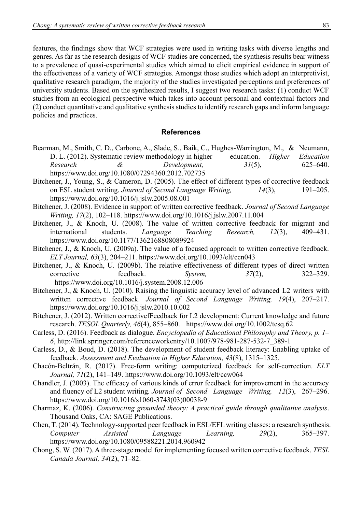features, the findings show that WCF strategies were used in writing tasks with diverse lengths and genres. As far as the research designs of WCF studies are concerned, the synthesis results bear witness to a prevalence of quasi-experimental studies which aimed to elicit empirical evidence in support of the effectiveness of a variety of WCF strategies. Amongst those studies which adopt an interpretivist, qualitative research paradigm, the majority of the studies investigated perceptions and preferences of university students. Based on the synthesized results, I suggest two research tasks: (1) conduct WCF studies from an ecological perspective which takes into account personal and contextual factors and (2) conduct quantitative and qualitative synthesis studies to identify research gaps and inform language policies and practices.

#### **References**

- Bearman, M., Smith, C. D., Carbone, A., Slade, S., Baik, C., Hughes-Warrington, M., & Neumann, D. L. (2012). Systematic review methodology in higher education. *Higher Education* D. L. (2012). Systematic review methodology in higher education. *Higher Education Research & Development, 31*(5), 625–640. <https://www.doi.org/10.1080/07294360.2012.702735>
- Bitchener, J., Young, S., & Cameron, D. (2005). The effect of different types of corrective feedback on ESL student writing. *Journal of Second Language Writing, 14*(3), 191–205. <https://www.doi.org/10.1016/j.jslw.2005.08.001>
- Bitchener, J. (2008). Evidence in support of written corrective feedback. *Journal of Second Language Writing, 17*(2), 102–118.<https://www.doi.org/10.1016/j.jslw.2007.11.004>
- Bitchener, J., & Knoch, U. (2008). The value of written corrective feedback for migrant and international students. *Language Teaching Research, 12*(3), 409–431. <https://www.doi.org/10.1177/1362168808089924>
- Bitchener, J., & Knoch, U. (2009a). The value of a focused approach to written corrective feedback. *ELT Journal, 63*(3), 204–211.<https://www.doi.org/10.1093/elt/ccn043>
- Bitchener, J., & Knoch, U. (2009b). The relative effectiveness of different types of direct written corrective feedback. *System, 37*(2), 322–329. <https://www.doi.org/10.1016/j.system.2008.12.006>
- Bitchener, J., & Knoch, U. (2010). Raising the linguistic accuracy level of advanced L2 writers with written corrective feedback. *Journal of Second Language Writing, 19*(4), 207–217. <https://www.doi.org/10.1016/j.jslw.2010.10.002>
- Bitchener, J. (2012). Written correctivefFeedback for L2 development: Current knowledge and future research. *TESOL Quarterly, 46*(4), 855–860. <https://www.doi.org/10.1002/tesq.62>
- Carless, D. (2016). Feedback as dialogue. *Encyclopedia of Educational Philosophy and Theory, p. 1– 6*, [http://link.springer.com/referenceworkentry/10.1007/978-981-287-532-7\\_389-1](http://link.springer.com/referenceworkentry/10.1007/978-981-287-532-7_389-1)
- Carless, D., & Boud, D. (2018). The development of student feedback literacy: Enabling uptake of feedback. *Assessment and Evaluation in Higher Education, 43*(8), 1315–1325.
- Chacón-Beltrán, R. (2017). Free-form writing: computerized feedback for self-correction. *ELT Journal, 71*(2), 141–149.<https://www.doi.org/10.1093/elt/ccw064>
- Chandler, J. (2003). The efficacy of various kinds of error feedback for improvement in the accuracy and fluency of L2 student writing*. Journal of Second Language Writing, 12*(3), 267–296. [https://www.doi.org/10.1016/s1060-3743\(03\)00038-9](https://www.doi.org/10.1016/s1060-3743(03)00038-9)
- Charmaz, K. (2006). *Constructing grounded theory: A practical guide through qualitative analysis*. Thousand Oaks, CA: SAGE Publications.
- Chen, T. (2014). Technology-supported peer feedback in ESL/EFL writing classes: a research synthesis. *Computer Assisted Language Learning, 29*(2), 365–397. <https://www.doi.org/10.1080/09588221.2014.960942>
- Chong, S. W. (2017). A three-stage model for implementing focused written corrective feedback. *TESL Canada Journal, 34*(2), 71–82.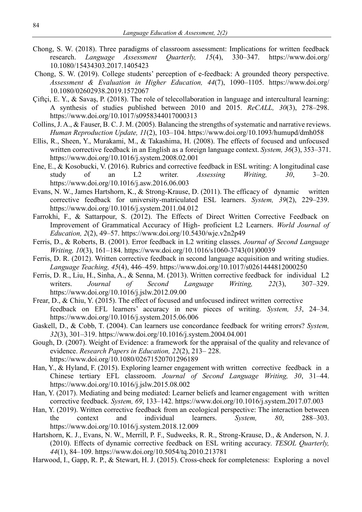- Chong, S. W. (2018). Three paradigms of classroom assessment: Implications for written feedback<br>research. *Language Assessment Ouarterly.* 15(4). 330–347. https://www.doi.org/ Language Assessment 10.1080/15434303.2017.1405423
- Chong, S. W. (2019). College students' perception of e-feedback: A grounded theory perspective. *Assessment & Evaluation in Higher Education, 44*(7), 1090–1105. https://www.doi.org/ 10.1080/02602938.2019.1572067
- Çiftçi, E. Y., & Savaş, P. (2018). The role of telecollaboration in language and intercultural learning: A synthesis of studies published between 2010 and 2015. *ReCALL, 30*(3), 278–298. <https://www.doi.org/10.1017/s0958344017000313>
- Collins, J. A., & Fauser, B. C. J. M. (2005). Balancing the strengths of systematic and narrative reviews. *Human Reproduction Update, 11*(2), 103–104.<https://www.doi.org/10.1093/humupd/dmh058>
- Ellis, R., Sheen, Y., Murakami, M., & Takashima, H. (2008). The effects of focused and unfocused written corrective feedback in an English as a foreign language context. *System, 36*(3), 353–371. <https://www.doi.org/10.1016/j.system.2008.02.001>
- Ene, E., & Kosobucki, V. (2016). Rubrics and corrective feedback in ESL writing: A longitudinal case study of an L2 writer. *Assessing Writing, 30*, 3–20. <https://www.doi.org/10.1016/j.asw.2016.06.003>
- Evans, N. W., James Hartshorn, K., & Strong-Krause, D. (2011). The efficacy of dynamic written corrective feedback for university-matriculated ESL learners. *System, 39*(2), 229–239. <https://www.doi.org/10.1016/j.system.2011.04.012>
- Farrokhi, F., & Sattarpour, S. (2012). The Effects of Direct Written Corrective Feedback on Improvement of Grammatical Accuracy of High- proficient L2 Learners. *World Journal of Education, 2*(2), 49–57.<https://www.doi.org/10.5430/wje.v2n2p49>
- Ferris, D., & Roberts, B. (2001). Error feedback in L2 writing classes. *Journal of Second Language Writing, 10*(3), 161–184. [https://www.doi.org/10.1016/s1060-3743\(01\)00039](https://www.doi.org/10.1016/s1060-3743(01)00039)
- Ferris, D. R. (2012). Written corrective feedback in second language acquisition and writing studies. *Language Teaching, 45*(4), 446–459.<https://www.doi.org/10.1017/s0261444812000250>
- Ferris, D. R., Liu, H., Sinha, A., & Senna, M. (2013). Written corrective feedback for individual L2 writers. *Journal of Second Language Writing, 22*(3), 307–329. <https://www.doi.org/10.1016/j.jslw.2012.09.00>
- Frear, D., & Chiu, Y. (2015). The effect of focused and unfocused indirect written corrective feedback on EFL learners' accuracy in new pieces of writing. *System, 53*, 24–34. <https://www.doi.org/10.1016/j.system.2015.06.006>
- Gaskell, D., & Cobb, T. (2004). Can learners use concordance feedback for writing errors? *System, 32*(3), 301–319.<https://www.doi.org/10.1016/j.system.2004.04.001>
- Gough, D. (2007). Weight of Evidence: a framework for the appraisal of the quality and relevance of evidence. *Research Papers in Education, 22*(2), 213– 228. <https://www.doi.org/10.1080/02671520701296189>
- Han, Y., & Hyland, F. (2015). Exploring learner engagement with written corrective feedback in a Chinese tertiary EFL classroom. *Journal of Second Language Writing, 30*, 31–44. <https://www.doi.org/10.1016/j.jslw.2015.08.002>
- Han, Y. (2017). Mediating and being mediated: Learner beliefs and learner engagement with written corrective feedback*. System, 69*, 133–142. <https://www.doi.org/10.1016/j.system.2017.07.003>
- Han, Y. (2019). Written corrective feedback from an ecological perspective: The interaction between the context and individual learners. *System, 80*, 288–303. <https://www.doi.org/10.1016/j.system.2018.12.009>
- Hartshorn, K. J., Evans, N. W., Merrill, P. F., Sudweeks, R. R., Strong-Krause, D., & Anderson, N. J. (2010). Effects of dynamic corrective feedback on ESL writing accuracy. *TESOL Quarterly, 44*(1), 84–109.<https://www.doi.org/10.5054/tq.2010.213781>
- Harwood, I., Gapp, R. P., & Stewart, H. J. (2015). Cross-check for completeness: Exploring a novel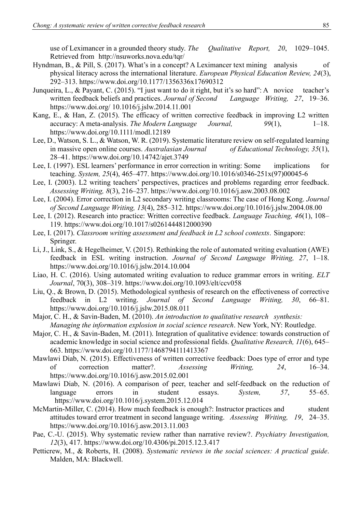use of Leximancer in a grounded theory study. *The Qualitative Report, 20*, 1029–1045. Retrieved from <http://nsuworks.nova.edu/tqr/>

- Hyndman, B., & Pill, S. (2017). What's in a concept? A Leximancer text mining analysis of physical literacy across the international literature. *European Physical Education Review, 24*(3), 292–313.<https://www.doi.org/10.1177/1356336x17690312>
- Junqueira, L., & Payant, C. (2015). "I just want to do it right, but it's so hard": A novice teacher's written feedback beliefs and practices. *Journal of Second Language Writing, 27*, 19–36. https://www.doi.org/ 10.1016/j.jslw.2014.11.001
- Kang, E., & Han, Z. (2015). The efficacy of written corrective feedback in improving L2 written accuracy: A meta-analysis. *The Modern Language Journal*, 99(1), 1-18. <https://www.doi.org/10.1111/modl.12189>
- Lee, D., Watson, S. L., & Watson, W. R. (2019). Systematic literature review on self-regulated learning in massive open online courses. *Australasian Journal of Educational Technology, 35*(1), 28–41.<https://www.doi.org/10.14742/ajet.3749>
- Lee, I. (1997). ESL learners' performance in error correction in writing: Some implications for teaching. *System, 25*(4), 465–477. [https://www.doi.org/10.1016/s0346-251x\(97\)00045-6](https://www.doi.org/10.1016/s0346-251x(97)00045-6)
- Lee, I. (2003). L2 writing teachers' perspectives, practices and problems regarding error feedback. *Assessing Writing, 8*(3), 216–237.<https://www.doi.org/10.1016/j.asw.2003.08.002>
- Lee, I. (2004). Error correction in L2 secondary writing classrooms: The case of Hong Kong. *Journal of Second Language Writing, 13*(4), 285–312.<https://www.doi.org/10.1016/j.jslw.2004.08.00>
- Lee, I. (2012). Research into practice: Written corrective feedback. *Language Teaching, 46*(1), 108– 119.<https://www.doi.org/10.1017/s0261444812000390>
- Lee, I. (2017). *Classroom writing assessment and feedback in L2 school contexts*. Singapore: Springer.
- Li, J., Link, S., & Hegelheimer, V. (2015). Rethinking the role of automated writing evaluation (AWE) feedback in ESL writing instruction. *Journal of Second Language Writing, 27*, 1–18. <https://www.doi.org/10.1016/j.jslw.2014.10.004>
- Liao, H. C. (2016). Using automated writing evaluation to reduce grammar errors in writing. *ELT Journal*, 70(3), 308–319.<https://www.doi.org/10.1093/elt/ccv058>
- Liu, Q., & Brown, D. (2015). Methodological synthesis of research on the effectiveness of corrective feedback in L2 writing. *Journal of Second Language Writing, 30*, 66–81. <https://www.doi.org/10.1016/j.jslw.2015.08.011>
- Major, C. H., & Savin-Baden, M. (2010). *An introduction to qualitative research synthesis: Managing the information explosion in social science research*. New York, NY: Routledge.
- Major, C. H., & Savin-Baden, M. (2011). Integration of qualitative evidence: towards construction of academic knowledge in social science and professional fields. *Qualitative Research, 11*(6), 645– 663.<https://www.doi.org/10.1177/1468794111413367>
- Mawlawi Diab, N. (2015). Effectiveness of written corrective feedback: Does type of error and type of correction matter?. *Assessing Writing, 24*, 16–34. <https://www.doi.org/10.1016/j.asw.2015.02.001>
- Mawlawi Diab, N. (2016). A comparison of peer, teacher and self-feedback on the reduction of language errors in student essays. *System, 57*, 55–65. <https://www.doi.org/10.1016/j.system.2015.12.014>
- McMartin-Miller, C. (2014). How much feedback is enough?: Instructor practices and student attitudes toward error treatment in second language writing. *Assessing Writing, 19*, 24–35. <https://www.doi.org/10.1016/j.asw.2013.11.003>
- Pae, C.-U. (2015). Why systematic review rather than narrative review?. *Psychiatry Investigation, 12*(3), 417.<https://www.doi.org/10.4306/pi.2015.12.3.417>
- Petticrew, M., & Roberts, H. (2008). *Systematic reviews in the social sciences: A practical guide*. Malden, MA: Blackwell.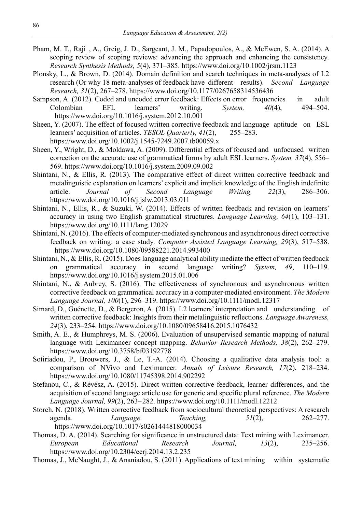- Pham, M. T., Raji, A., Greig, J. D., Sargeant, J. M., Papadopoulos, A., & McEwen, S. A. (2014). A scoping review of scoping reviews: advancing the approach and enhancing the consistency. *Research Synthesis Methods, 5*(4), 371–385.<https://www.doi.org/10.1002/jrsm.1123>
- Plonsky, L., & Brown, D. (2014). Domain definition and search techniques in meta-analyses of L2 research (Or why 18 meta-analyses of feedback have different results). *Second Language Research, 31*(2), 267–278.<https://www.doi.org/10.1177/0267658314536436>
- Sampson, A. (2012). Coded and uncoded error feedback: Effects on error frequencies in adult Colombian EFL learners' writing. *System, 40*(4), 494–504. <https://www.doi.org/10.1016/j.system.2012.10.001>
- Sheen, Y. (2007). The effect of focused written corrective feedback and language aptitude on ESL learners' acquisition of articles. *TESOL Quarterly.* 41(2). 255–283. learners' acquisition of articles. *TESOL Quarterly, 41(2)*, <https://www.doi.org/10.1002/j.1545-7249.2007.tb00059.x>
- Sheen, Y., Wright, D., & Moldawa, A. (2009). Differential effects of focused and unfocused written correction on the accurate use of grammatical forms by adult ESL learners. *System, 37*(4), 556– 569.<https://www.doi.org/10.1016/j.system.2009.09.002>
- Shintani, N., & Ellis, R. (2013). The comparative effect of direct written corrective feedback and metalinguistic explanation on learners' explicit and implicit knowledge of the English indefinite article. *Journal of Second Language Writing, 22*(3), 286–306. <https://www.doi.org/10.1016/j.jslw.2013.03.011>
- Shintani, N., Ellis, R., & Suzuki, W. (2014). Effects of written feedback and revision on learners' accuracy in using two English grammatical structures. *Language Learning, 64*(1), 103–131. <https://www.doi.org/10.1111/lang.12029>
- Shintani, N. (2016). The effects of computer-mediated synchronous and asynchronous direct corrective feedback on writing: a case study. *Computer Assisted Language Learning, 29*(3), 517–538. <https://www.doi.org/10.1080/09588221.2014.993400>
- Shintani, N., & Ellis, R. (2015). Does language analytical ability mediate the effect of written feedback on grammatical accuracy in second language writing? *System, 49*, 110–119. <https://www.doi.org/10.1016/j.system.2015.01.006>
- Shintani, N., & Aubrey, S. (2016). The effectiveness of synchronous and asynchronous written corrective feedback on grammatical accuracy in a computer-mediated environment. *The Modern Language Journal, 100*(1), 296–319.<https://www.doi.org/10.1111/modl.12317>
- Simard, D., Guénette, D., & Bergeron, A. (2015). L2 learners' interpretation and understanding of written corrective feedback: Insights from their metalinguistic reflections. *Language Awareness, 24*(3), 233–254.<https://www.doi.org/10.1080/09658416.2015.1076432>
- Smith, A. E., & Humphreys, M. S. (2006). Evaluation of unsupervised semantic mapping of natural language with Leximancer concept mapping. *Behavior Research Methods, 38*(2), 262–279. <https://www.doi.org/10.3758/bf03192778>
- Sotiriadou, P., Brouwers, J., & Le, T.-A. (2014). Choosing a qualitative data analysis tool: a comparison of NVivo and Leximancer. *Annals of Leisure Research, 17*(2), 218–234. <https://www.doi.org/10.1080/11745398.2014.902292>
- Stefanou, C., & Révész, A. (2015). Direct written corrective feedback, learner differences, and the acquisition of second language article use for generic and specific plural reference. *The Modern Language Journal, 99*(2), 263–282.<https://www.doi.org/10.1111/modl.12212>
- Storch, N. (2018). Written corrective feedback from sociocultural theoretical perspectives: A research agenda*. Language Teaching, 51*(2), 262–277. <https://www.doi.org/10.1017/s0261444818000034>
- Thomas, D. A. (2014). Searching for significance in unstructured data: Text mining with Leximancer. *European Educational Research Journal, 13*(2), 235–256. <https://www.doi.org/10.2304/eerj.2014.13.2.235>
- Thomas, J., McNaught, J., & Ananiadou, S. (2011). Applications of text mining within systematic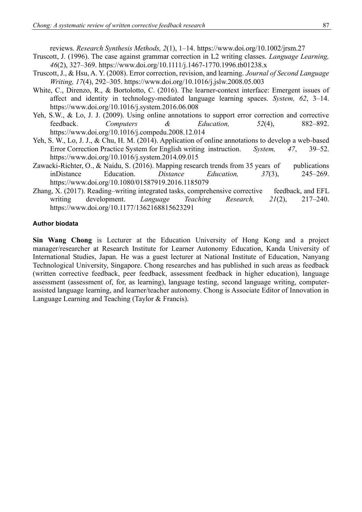reviews. *Research Synthesis Methods, 2*(1), 1–14.<https://www.doi.org/10.1002/jrsm.27>

- Truscott, J. (1996). The case against grammar correction in L2 writing classes. *Language Learning, 46*(2), 327–369.<https://www.doi.org/10.1111/j.1467-1770.1996.tb01238.x>
- Truscott, J., & Hsu, A. Y. (2008). Error correction, revision, and learning. *Journal of Second Language Writing, 17*(4), 292–305.<https://www.doi.org/10.1016/j.jslw.2008.05.003>
- White, C., Direnzo, R., & Bortolotto, C. (2016). The learner-context interface: Emergent issues of affect and identity in technology-mediated language learning spaces. *System, 62*, 3–14. <https://www.doi.org/10.1016/j.system.2016.06.008>
- Yeh, S.W., & Lo, J. J. (2009). Using online annotations to support error correction and corrective feedback. *Computers & Education, 52*(4), 882–892. <https://www.doi.org/10.1016/j.compedu.2008.12.014>
- Yeh, S. W., Lo, J. J., & Chu, H. M. (2014). Application of online annotations to develop a web-based Error Correction Practice System for English writing instruction. *System, 47*, 39–52. <https://www.doi.org/10.1016/j.system.2014.09.015>
- Zawacki-Richter, O., & Naidu, S. (2016). Mapping research trends from 35 years of publications inDistance Education. *Distance Education, 37*(3), 245–269. <https://www.doi.org/10.1080/01587919.2016.1185079>
- Zhang, X. (2017). Reading–writing integrated tasks, comprehensive corrective feedback, and EFL writing development. *Language Teaching Research, 21*(2), 217–240. <https://www.doi.org/10.1177/1362168815623291>

#### **Author biodata**

**Sin Wang Chong** is Lecturer at the Education University of Hong Kong and a project manager/researcher at Research Institute for Learner Autonomy Education, Kanda University of International Studies, Japan. He was a guest lecturer at National Institute of Education, Nanyang Technological University, Singapore. Chong researches and has published in such areas as feedback (written corrective feedback, peer feedback, assessment feedback in higher education), language assessment (assessment of, for, as learning), language testing, second language writing, computerassisted language learning, and learner/teacher autonomy. Chong is Associate Editor of Innovation in Language Learning and Teaching (Taylor & Francis).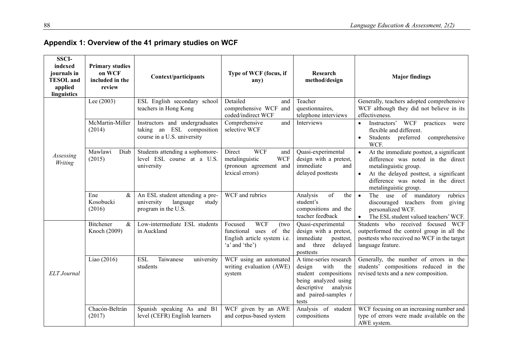| <b>SSCI-</b><br>indexed<br>journals in<br><b>TESOL</b> and<br>applied<br>linguistics | <b>Primary studies</b><br>on WCF<br>included in the<br>review | Context/participants                                                                       | Type of WCF (focus, if<br>any)                                                                           | Research<br>method/design                                                                                                                                     | <b>Major findings</b>                                                                                                                                                                                            |
|--------------------------------------------------------------------------------------|---------------------------------------------------------------|--------------------------------------------------------------------------------------------|----------------------------------------------------------------------------------------------------------|---------------------------------------------------------------------------------------------------------------------------------------------------------------|------------------------------------------------------------------------------------------------------------------------------------------------------------------------------------------------------------------|
|                                                                                      | Lee $(2003)$                                                  | ESL English secondary school<br>teachers in Hong Kong                                      | Detailed<br>and<br>comprehensive WCF<br>and<br>coded/indirect WCF                                        | Teacher<br>questionnaires,<br>telephone interviews                                                                                                            | Generally, teachers adopted comprehensive<br>WCF although they did not believe in its<br>effectiveness.                                                                                                          |
| Assessing<br>Writing                                                                 | McMartin-Miller<br>(2014)                                     | Instructors and undergraduates<br>taking an ESL composition<br>course in a U.S. university | Comprehensive<br>and<br>selective WCF                                                                    | Interviews                                                                                                                                                    | Instructors' WCF<br>practices<br>were<br>flexible and different.<br>Students<br>preferred<br>comprehensive<br>WCF.                                                                                               |
|                                                                                      | Mawlawi<br>Diab<br>(2015)                                     | Students attending a sophomore-<br>level ESL course at a U.S.<br>university                | <b>WCF</b><br>Direct<br>and<br>metalinguistic<br><b>WCF</b><br>(pronoun agreement and<br>lexical errors) | Quasi-experimental<br>design with a pretest,<br>immediate<br>and<br>delayed posttests                                                                         | At the immediate posttest, a significant<br>difference was noted in the direct<br>metalinguistic group.<br>At the delayed posttest, a significant<br>difference was noted in the direct<br>metalinguistic group. |
|                                                                                      | Ene<br>$\&$<br>Kosobucki<br>(2016)                            | An ESL student attending a pre-<br>university<br>language<br>study<br>program in the U.S.  | WCF and rubrics                                                                                          | of<br>Analysis<br>the<br>student's<br>compositions and the<br>teacher feedback                                                                                | The use of mandatory<br>rubrics<br>$\bullet$<br>discouraged teachers from giving<br>personalized WCF.<br>The ESL student valued teachers' WCF.                                                                   |
| <b>ELT</b> Journal                                                                   | <b>Bitchener</b><br>$\&$<br>Knoch (2009)                      | Low-intermediate ESL students<br>in Auckland                                               | <b>WCF</b><br>Focused<br>(two<br>functional uses of the<br>English article system i.e.<br>'a' and 'the') | Quasi-experimental<br>design with a pretest,<br>immediate<br>posttest,<br>and<br>three<br>delayed<br>posttests                                                | Students who received focused WCF<br>outperformed the control group in all the<br>posttests who received no WCF in the target<br>language feature.                                                               |
|                                                                                      | Liao (2016)                                                   | Taiwanese<br><b>ESL</b><br>university<br>students                                          | WCF using an automated<br>writing evaluation (AWE)<br>system                                             | A time-series research<br>with<br>design<br>the<br>student compositions<br>being analyzed using<br>descriptive<br>analysis<br>and paired-samples $t$<br>tests | Generally, the number of errors in the<br>students' compositions reduced in the<br>revised texts and a new composition.                                                                                          |
|                                                                                      | Chacón-Beltrán<br>(2017)                                      | Spanish speaking As and B1<br>level (CEFR) English learners                                | WCF given by an AWE<br>and corpus-based system                                                           | Analysis of student<br>compositions                                                                                                                           | WCF focusing on an increasing number and<br>type of errors were made available on the<br>AWE system.                                                                                                             |

# **Appendix 1: Overview of the 41 primary studies on WCF**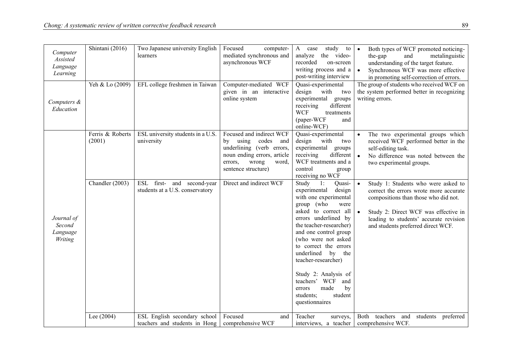| Computer<br>Assisted<br>Language<br>Learning | Shintani (2016)            | Two Japanese university English<br>learners                   | Focused<br>computer-<br>mediated synchronous and<br>asynchronous WCF                                                                                              | study to<br>A case<br>the video-<br>analyze<br>recorded<br>on-screen<br>writing process and a<br>post-writing interview                                                                                                                                                                                                                                                                                                        | Both types of WCF promoted noticing-<br>$\bullet$<br>the-gap<br>and<br>metalinguistic<br>understanding of the target feature.<br>Synchronous WCF was more effective<br>in promoting self-correction of errors.                                                          |
|----------------------------------------------|----------------------------|---------------------------------------------------------------|-------------------------------------------------------------------------------------------------------------------------------------------------------------------|--------------------------------------------------------------------------------------------------------------------------------------------------------------------------------------------------------------------------------------------------------------------------------------------------------------------------------------------------------------------------------------------------------------------------------|-------------------------------------------------------------------------------------------------------------------------------------------------------------------------------------------------------------------------------------------------------------------------|
| Computers &<br>Education                     | Yeh & Lo (2009)            | EFL college freshmen in Taiwan                                | Computer-mediated WCF<br>given in an interactive<br>online system                                                                                                 | Quasi-experimental<br>design with<br>two<br>experimental<br>groups<br>different<br>receiving<br><b>WCF</b><br>treatments<br>(paper-WCF<br>and<br>online-WCF)                                                                                                                                                                                                                                                                   | The group of students who received WCF on<br>the system performed better in recognizing<br>writing errors.                                                                                                                                                              |
|                                              | Ferris & Roberts<br>(2001) | ESL university students in a U.S.<br>university               | Focused and indirect WCF<br>by using codes<br>and<br>underlining (verb errors,<br>noun ending errors, article<br>word,<br>errors,<br>wrong<br>sentence structure) | Quasi-experimental<br>design<br>with<br>two<br>experimental groups<br>receiving<br>different<br>WCF treatments and a<br>control<br>group<br>receiving no WCF                                                                                                                                                                                                                                                                   | The two experimental groups which<br>received WCF performed better in the<br>self-editing task.<br>No difference was noted between the<br>two experimental groups.                                                                                                      |
| Journal of<br>Second<br>Language<br>Writing  | Chandler (2003)            | ESL first- and second-year<br>students at a U.S. conservatory | Direct and indirect WCF                                                                                                                                           | Study<br>Quasi-<br>$\overline{1}$ :<br>experimental<br>design<br>with one experimental<br>group (who<br>were<br>asked to correct all<br>errors underlined by<br>the teacher-researcher)<br>and one control group<br>(who were not asked<br>to correct the errors<br>underlined by the<br>teacher-researcher)<br>Study 2: Analysis of<br>teachers' WCF<br>and<br>made<br>by<br>errors<br>student<br>students;<br>questionnaires | Study 1: Students who were asked to<br>$\bullet$<br>correct the errors wrote more accurate<br>compositions than those who did not.<br>$\bullet$<br>Study 2: Direct WCF was effective in<br>leading to students' accurate revision<br>and students preferred direct WCF. |
|                                              | Lee (2004)                 | ESL English secondary school<br>teachers and students in Hong | Focused<br>and<br>comprehensive WCF                                                                                                                               | Teacher<br>surveys,<br>interviews, a teacher                                                                                                                                                                                                                                                                                                                                                                                   | Both<br>teachers<br>and<br>students preferred<br>comprehensive WCF.                                                                                                                                                                                                     |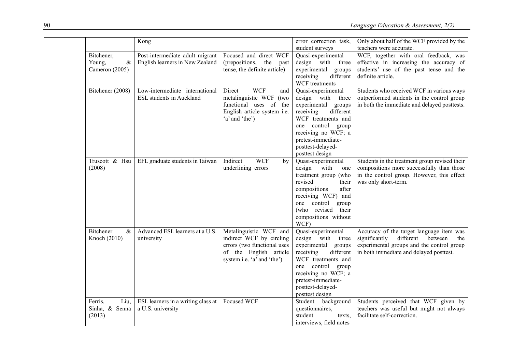|                                                | Kong                                                               |                                                                                                                                           | error correction task,<br>student surveys                                                                                                                                                                                      | Only about half of the WCF provided by the<br>teachers were accurate.                                                                                                            |
|------------------------------------------------|--------------------------------------------------------------------|-------------------------------------------------------------------------------------------------------------------------------------------|--------------------------------------------------------------------------------------------------------------------------------------------------------------------------------------------------------------------------------|----------------------------------------------------------------------------------------------------------------------------------------------------------------------------------|
| Bitchener,<br>$\&$<br>Young,<br>Cameron (2005) | Post-intermediate adult migrant<br>English learners in New Zealand | Focused and direct WCF<br>(prepositions,<br>the<br>past<br>tense, the definite article)                                                   | Quasi-experimental<br>design with<br>three<br>experimental groups<br>receiving<br>different<br>WCF treatments                                                                                                                  | WCF, together with oral feedback, was<br>effective in increasing the accuracy of<br>students' use of the past tense and the<br>definite article.                                 |
| Bitchener (2008)                               | Low-intermediate international<br><b>ESL</b> students in Auckland  | <b>WCF</b><br>Direct<br>and<br>metalinguistic WCF (two<br>functional uses of the<br>English article system i.e.<br>'a' and 'the')         | Quasi-experimental<br>design with<br>three<br>experimental groups<br>receiving<br>different<br>WCF treatments and<br>one control group<br>receiving no WCF; a<br>pretest-immediate-<br>posttest-delayed-<br>posttest design    | Students who received WCF in various ways<br>outperformed students in the control group<br>in both the immediate and delayed posttests.                                          |
| Truscott & Hsu<br>(2008)                       | EFL graduate students in Taiwan                                    | Indirect<br><b>WCF</b><br>by<br>underlining errors                                                                                        | Quasi-experimental<br>design<br>with<br>one<br>treatment group (who<br>revised<br>their<br>compositions<br>after<br>receiving WCF) and<br>one control<br>group<br>(who revised<br>their<br>compositions without<br>WCF)        | Students in the treatment group revised their<br>compositions more successfully than those<br>in the control group. However, this effect<br>was only short-term.                 |
| Bitchener<br>$\&$<br>Knoch (2010)              | Advanced ESL learners at a U.S.<br>university                      | Metalinguistic WCF and<br>indirect WCF by circling<br>errors (two functional uses<br>of the English article<br>system i.e. 'a' and 'the') | Quasi-experimental<br>design with<br>three<br>experimental<br>groups<br>receiving<br>different<br>WCF treatments and<br>one control group<br>receiving no WCF; a<br>pretest-immediate-<br>posttest-delayed-<br>posttest design | Accuracy of the target language item was<br>significantly<br>different<br>between<br>the<br>experimental groups and the control group<br>in both immediate and delayed posttest. |
| Liu,<br>Ferris,<br>Sinha, & Senna<br>(2013)    | ESL learners in a writing class at<br>a U.S. university            | Focused WCF                                                                                                                               | Student background<br>questionnaires,<br>student<br>texts,<br>interviews, field notes                                                                                                                                          | Students perceived that WCF given by<br>teachers was useful but might not always<br>facilitate self-correction.                                                                  |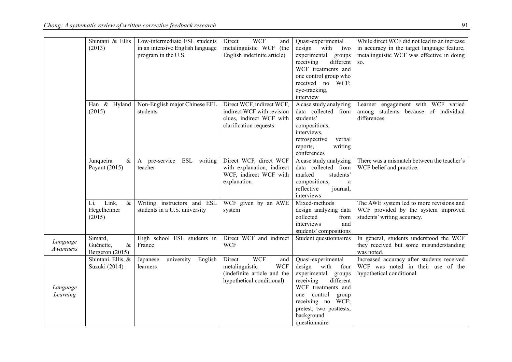|           | Shintani & Ellis     | Low-intermediate ESL students     | <b>WCF</b><br>Direct<br>and                   | Quasi-experimental                | While direct WCF did not lead to an increase                                    |
|-----------|----------------------|-----------------------------------|-----------------------------------------------|-----------------------------------|---------------------------------------------------------------------------------|
|           | (2013)               | in an intensive English language  | metalinguistic WCF<br>(the                    | design with<br>two                | in accuracy in the target language feature,                                     |
|           |                      | program in the U.S.               | English indefinite article)                   | experimental groups               | metalinguistic WCF was effective in doing                                       |
|           |                      |                                   |                                               | different<br>receiving            | SO.                                                                             |
|           |                      |                                   |                                               | WCF treatments and                |                                                                                 |
|           |                      |                                   |                                               | one control group who             |                                                                                 |
|           |                      |                                   |                                               | received no WCF;                  |                                                                                 |
|           |                      |                                   |                                               | eye-tracking,                     |                                                                                 |
|           |                      |                                   |                                               | interview                         |                                                                                 |
|           | Han & Hyland         | Non-English major Chinese EFL     | Direct WCF, indirect WCF,                     | A case study analyzing            | Learner engagement with WCF varied                                              |
|           | (2015)               | students                          | indirect WCF with revision                    | data collected from               | among students because of individual                                            |
|           |                      |                                   | clues, indirect WCF with                      | students'                         | differences.                                                                    |
|           |                      |                                   | clarification requests                        | compositions,                     |                                                                                 |
|           |                      |                                   |                                               | interviews,                       |                                                                                 |
|           |                      |                                   |                                               | retrospective<br>verbal           |                                                                                 |
|           |                      |                                   |                                               | reports,<br>writing               |                                                                                 |
|           |                      |                                   |                                               | conferences                       |                                                                                 |
|           | Junqueira<br>$\&$    | A pre-service ESL writing         | Direct WCF, direct WCF                        | A case study analyzing            | There was a mismatch between the teacher's                                      |
|           | Payant $(2015)$      | teacher                           | with explanation, indirect                    | data collected from               | WCF belief and practice.                                                        |
|           |                      |                                   | WCF, indirect WCF with                        | marked<br>students'               |                                                                                 |
|           |                      |                                   | explanation                                   | compositions,<br>a                |                                                                                 |
|           |                      |                                   |                                               | reflective<br>journal,            |                                                                                 |
|           |                      |                                   |                                               | interviews                        |                                                                                 |
|           | Link,<br>$\&$<br>Li, | Writing instructors and ESL       | WCF given by an AWE                           | Mixed-methods                     | The AWE system led to more revisions and                                        |
|           | Hegelheimer          | students in a U.S. university     | system                                        | design analyzing data             | WCF provided by the system improved                                             |
|           | (2015)               |                                   |                                               | collected<br>from                 | students' writing accuracy.                                                     |
|           |                      |                                   |                                               | interviews<br>and                 |                                                                                 |
|           |                      |                                   |                                               | students' compositions            |                                                                                 |
| Language  | Simard,              | High school ESL students in       | Direct WCF and indirect                       | Student questionnaires            | In general, students understood the WCF                                         |
| Awareness | Guénette,<br>$\&$    | France                            | <b>WCF</b>                                    |                                   | they received but some misunderstanding                                         |
|           | Bergeron (2015)      |                                   |                                               |                                   | was noted.                                                                      |
|           | Shintani, Ellis, &   | English<br>Japanese<br>university | <b>WCF</b><br>Direct<br>and<br><b>WCF</b>     | Quasi-experimental<br>design with | Increased accuracy after students received<br>WCF was noted in their use of the |
|           | Suzuki (2014)        | learners                          | metalinguistic<br>(indefinite article and the | four<br>experimental groups       | hypothetical conditional.                                                       |
|           |                      |                                   | hypothetical conditional)                     | receiving<br>different            |                                                                                 |
| Language  |                      |                                   |                                               | WCF treatments and                |                                                                                 |
| Learning  |                      |                                   |                                               | control group<br>one              |                                                                                 |
|           |                      |                                   |                                               | receiving no WCF;                 |                                                                                 |
|           |                      |                                   |                                               | pretest, two posttests,           |                                                                                 |
|           |                      |                                   |                                               | background                        |                                                                                 |
|           |                      |                                   |                                               | questionnaire                     |                                                                                 |
|           |                      |                                   |                                               |                                   |                                                                                 |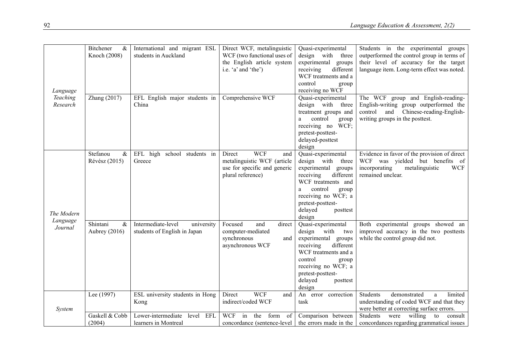| Language             | Bitchener<br>$\&$<br>Knoch (2008) | International and migrant ESL<br>students in Auckland            | Direct WCF, metalinguistic<br>WCF (two functional uses of<br>the English article system<br>i.e. 'a' and 'the')  | Quasi-experimental<br>design with<br>three<br>experimental<br>groups<br>receiving<br>different<br>WCF treatments and a<br>control<br>group<br>receiving no WCF                                                             | Students in the experimental groups<br>outperformed the control group in terms of<br>their level of accuracy for the target<br>language item. Long-term effect was noted. |
|----------------------|-----------------------------------|------------------------------------------------------------------|-----------------------------------------------------------------------------------------------------------------|----------------------------------------------------------------------------------------------------------------------------------------------------------------------------------------------------------------------------|---------------------------------------------------------------------------------------------------------------------------------------------------------------------------|
| Teaching<br>Research | Zhang (2017)                      | EFL English major students in<br>China                           | Comprehensive WCF                                                                                               | Quasi-experimental<br>design with<br>three<br>treatment groups and<br>control<br>group<br>a<br>receiving no WCF;<br>pretest-posttest-<br>delayed-posttest<br>design                                                        | The WCF group and English-reading-<br>English-writing group outperformed the<br>Chinese-reading-English-<br>and<br>control<br>writing groups in the posttest.             |
| The Modern           | Stefanou<br>$\&$<br>Révész (2015) | EFL high school students in<br>Greece                            | <b>WCF</b><br>Direct<br>and<br>metalinguistic WCF (article<br>use for specific and generic<br>plural reference) | Quasi-experimental<br>design with<br>three<br>experimental<br>groups<br>receiving<br>different<br>WCF treatments and<br>control<br>group<br>a<br>receiving no WCF; a<br>pretest-posttest-<br>delayed<br>posttest<br>design | Evidence in favor of the provision of direct<br>WCF was yielded but benefits of<br>incorporating<br>metalinguistic<br><b>WCF</b><br>remained unclear.                     |
| Language<br>Journal  | $\&$<br>Shintani<br>Aubrey (2016) | Intermediate-level<br>university<br>students of English in Japan | Focused<br>and<br>direct<br>computer-mediated<br>synchronous<br>and<br>asynchronous WCF                         | Quasi-experimental<br>design with<br>two<br>experimental groups<br>receiving<br>different<br>WCF treatments and a<br>control<br>group<br>receiving no WCF; a<br>pretest-posttest-<br>delayed<br>posttest<br>design         | Both experimental groups showed an<br>improved accuracy in the two posttests<br>while the control group did not.                                                          |
| <i>System</i>        | Lee (1997)                        | ESL university students in Hong<br>Kong                          | <b>WCF</b><br>Direct<br>and<br>indirect/coded WCF                                                               | An<br>error correction<br>task                                                                                                                                                                                             | Students<br>demonstrated<br>limited<br>a<br>understanding of coded WCF and that they<br>were better at correcting surface errors.                                         |
|                      | Gaskell & Cobb<br>(2004)          | Lower-intermediate<br>EFL<br>level<br>learners in Montreal       | <b>WCF</b><br>in<br>the<br>form<br>of<br>concordance (sentence-level)                                           | Comparison between<br>the errors made in the                                                                                                                                                                               | Students<br>willing<br>were<br>to<br>consult<br>concordances regarding grammatical issues                                                                                 |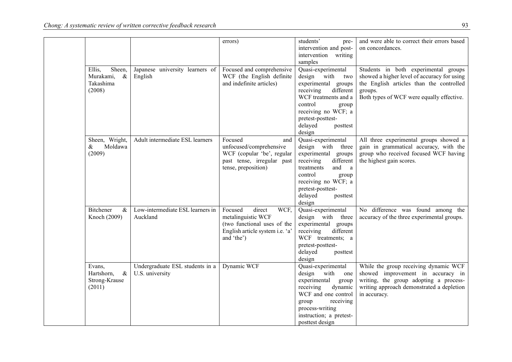|                    |                                  | errors)                                       | students'<br>pre-                           | and were able to correct their errors based |
|--------------------|----------------------------------|-----------------------------------------------|---------------------------------------------|---------------------------------------------|
|                    |                                  |                                               | intervention and post-                      | on concordances.                            |
|                    |                                  |                                               | intervention writing                        |                                             |
|                    |                                  |                                               | samples                                     |                                             |
| Ellis,<br>Sheen,   | Japanese university learners of  | Focused and comprehensive                     | Quasi-experimental                          | Students in both experimental groups        |
| Murakami,<br>$\&$  | English                          | WCF (the English definite                     | design with<br>two                          | showed a higher level of accuracy for using |
| Takashima          |                                  | and indefinite articles)                      | experimental groups                         | the English articles than the controlled    |
| (2008)             |                                  |                                               | receiving<br>different                      | groups.                                     |
|                    |                                  |                                               | WCF treatments and a                        | Both types of WCF were equally effective.   |
|                    |                                  |                                               | control<br>group                            |                                             |
|                    |                                  |                                               | receiving no WCF; a                         |                                             |
|                    |                                  |                                               | pretest-posttest-                           |                                             |
|                    |                                  |                                               | delayed<br>posttest                         |                                             |
|                    |                                  |                                               | design                                      |                                             |
| Sheen, Wright,     | Adult intermediate ESL learners  | Focused<br>and                                | Quasi-experimental                          | All three experimental groups showed a      |
| Moldawa<br>$\&$    |                                  | unfocused/comprehensive                       | design with three                           | gain in grammatical accuracy, with the      |
| (2009)             |                                  | WCF (copular 'be', regular                    | experimental groups                         | group who received focused WCF having       |
|                    |                                  | past tense, irregular past                    | receiving<br>different                      | the highest gain scores.                    |
|                    |                                  | tense, preposition)                           | and<br>treatments<br>a                      |                                             |
|                    |                                  |                                               | control<br>group                            |                                             |
|                    |                                  |                                               | receiving no WCF; a                         |                                             |
|                    |                                  |                                               | pretest-posttest-                           |                                             |
|                    |                                  |                                               | delayed<br>posttest                         |                                             |
|                    |                                  |                                               | design                                      |                                             |
| Bitchener<br>$\&$  | Low-intermediate ESL learners in | Focused<br>direct<br>WCF,                     | Quasi-experimental                          | No difference was found among the           |
| Knoch (2009)       | Auckland                         | metalinguistic WCF                            | design with three                           | accuracy of the three experimental groups.  |
|                    |                                  | (two functional uses of the                   | experimental groups                         |                                             |
|                    |                                  | English article system i.e. 'a'<br>and 'the') | different<br>receiving<br>WCF treatments; a |                                             |
|                    |                                  |                                               | pretest-posttest-                           |                                             |
|                    |                                  |                                               | delayed<br>posttest                         |                                             |
|                    |                                  |                                               | design                                      |                                             |
| Evans,             | Undergraduate ESL students in a  | Dynamic WCF                                   | Quasi-experimental                          | While the group receiving dynamic WCF       |
| Hartshorn,<br>$\&$ | U.S. university                  |                                               | design with<br>one                          | showed improvement in accuracy in           |
| Strong-Krause      |                                  |                                               | experimental<br>group                       | writing, the group adopting a process-      |
| (2011)             |                                  |                                               | dynamic<br>receiving                        | writing approach demonstrated a depletion   |
|                    |                                  |                                               | WCF and one control                         | in accuracy.                                |
|                    |                                  |                                               | receiving<br>group                          |                                             |
|                    |                                  |                                               | process-writing                             |                                             |
|                    |                                  |                                               | instruction; a pretest-                     |                                             |
|                    |                                  |                                               | posttest design                             |                                             |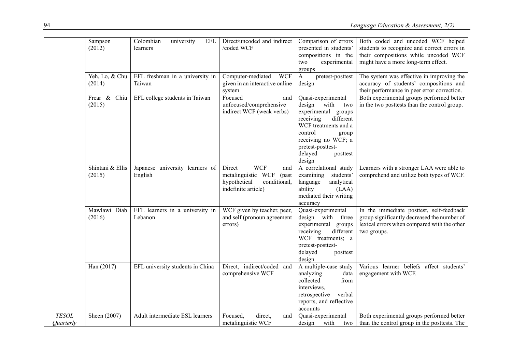|                                         | Sampson<br>(2012)          | Colombian<br>university<br>EFL<br>learners | Direct/uncoded and indirect<br>/coded WCF                                                                         | Comparison of errors<br>presented in students'<br>compositions in the<br>two<br>experimental<br>groups                                                                                                             | Both coded and uncoded WCF helped<br>students to recognize and correct errors in<br>their compositions while uncoded WCF<br>might have a more long-term effect. |
|-----------------------------------------|----------------------------|--------------------------------------------|-------------------------------------------------------------------------------------------------------------------|--------------------------------------------------------------------------------------------------------------------------------------------------------------------------------------------------------------------|-----------------------------------------------------------------------------------------------------------------------------------------------------------------|
|                                         | Yeh, Lo, & Chu<br>(2014)   | EFL freshman in a university in<br>Taiwan  | Computer-mediated WCF<br>given in an interactive online<br>system                                                 | $\mathbf{A}$<br>pretest-posttest<br>design                                                                                                                                                                         | The system was effective in improving the<br>accuracy of students' compositions and<br>their performance in peer error correction.                              |
|                                         | Frear & Chiu<br>(2015)     | EFL college students in Taiwan             | Focused<br>and<br>unfocused/comprehensive<br>indirect WCF (weak verbs)                                            | Quasi-experimental<br>design with<br>two<br>experimental groups<br>different<br>receiving<br>WCF treatments and a<br>control<br>group<br>receiving no WCF; a<br>pretest-posttest-<br>delayed<br>posttest<br>design | Both experimental groups performed better<br>in the two posttests than the control group.                                                                       |
|                                         | Shintani & Ellis<br>(2015) | Japanese university learners of<br>English | <b>WCF</b><br>Direct<br>and<br>metalinguistic WCF<br>(past<br>hypothetical<br>conditional,<br>indefinite article) | A correlational study<br>examining<br>students'<br>analytical<br>language<br>ability<br>(LAA)<br>mediated their writing<br>accuracy                                                                                | Learners with a stronger LAA were able to<br>comprehend and utilize both types of WCF.                                                                          |
|                                         | Mawlawi Diab<br>(2016)     | EFL learners in a university in<br>Lebanon | WCF given by teacher, peer,<br>and self (pronoun agreement<br>errors)                                             | Quasi-experimental<br>design with three<br>experimental groups<br>different<br>receiving<br>WCF treatments; a<br>pretest-posttest-<br>delayed<br>posttest<br>design                                                | In the immediate posttest, self-feedback<br>group significantly decreased the number of<br>lexical errors when compared with the other<br>two groups.           |
|                                         | Han (2017)                 | EFL university students in China           | Direct, indirect/coded<br>and<br>comprehensive WCF                                                                | A multiple-case study<br>analyzing<br>data<br>collected<br>from<br>interviews,<br>retrospective<br>verbal<br>reports, and reflective<br>accounts                                                                   | Various learner beliefs affect students'<br>engagement with WCF.                                                                                                |
| <b>TESOL</b><br><i><b>Ouarterly</b></i> | Sheen (2007)               | Adult intermediate ESL learners            | Focused,<br>direct,<br>and<br>metalinguistic WCF                                                                  | Quasi-experimental<br>design<br>with<br>two                                                                                                                                                                        | Both experimental groups performed better<br>than the control group in the posttests. The                                                                       |